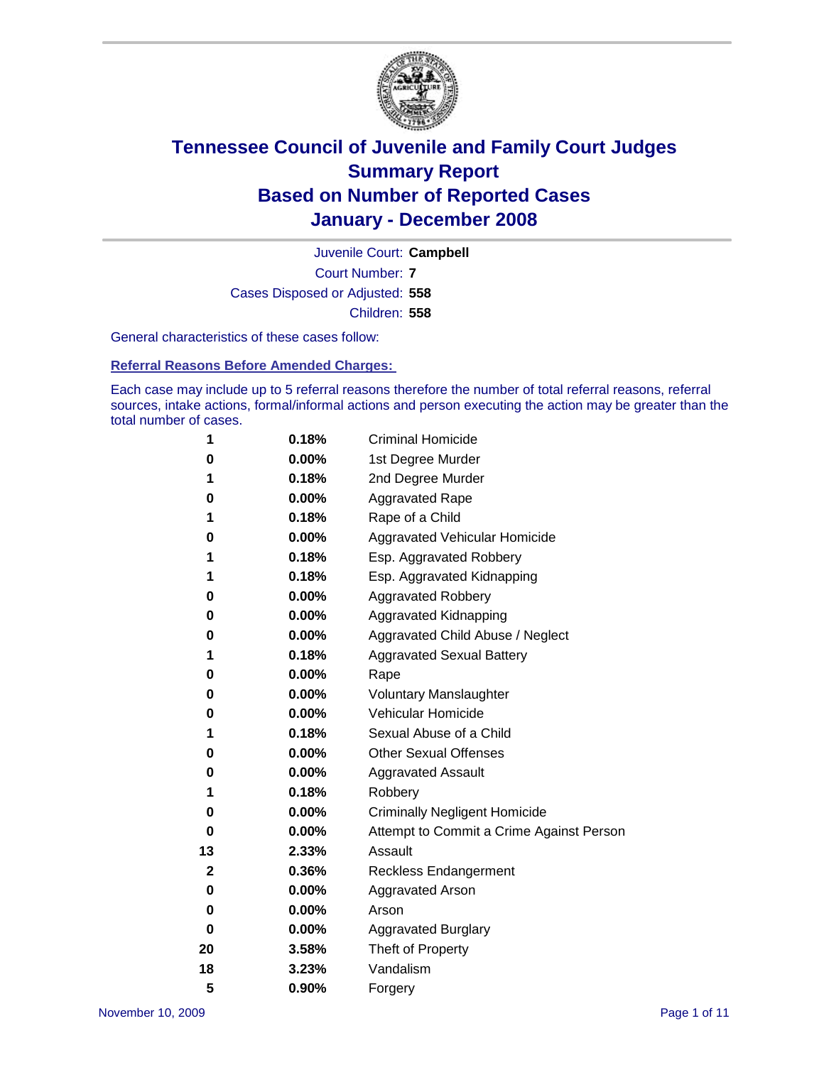

Court Number: **7** Juvenile Court: **Campbell** Cases Disposed or Adjusted: **558** Children: **558**

General characteristics of these cases follow:

**Referral Reasons Before Amended Charges:** 

Each case may include up to 5 referral reasons therefore the number of total referral reasons, referral sources, intake actions, formal/informal actions and person executing the action may be greater than the total number of cases.

| 1  | 0.18%    | <b>Criminal Homicide</b>                 |
|----|----------|------------------------------------------|
| 0  | 0.00%    | 1st Degree Murder                        |
| 1  | 0.18%    | 2nd Degree Murder                        |
| 0  | 0.00%    | <b>Aggravated Rape</b>                   |
| 1  | 0.18%    | Rape of a Child                          |
| 0  | 0.00%    | Aggravated Vehicular Homicide            |
| 1  | 0.18%    | Esp. Aggravated Robbery                  |
| 1  | 0.18%    | Esp. Aggravated Kidnapping               |
| 0  | 0.00%    | <b>Aggravated Robbery</b>                |
| 0  | 0.00%    | Aggravated Kidnapping                    |
| 0  | 0.00%    | Aggravated Child Abuse / Neglect         |
| 1  | 0.18%    | <b>Aggravated Sexual Battery</b>         |
| 0  | 0.00%    | Rape                                     |
| 0  | 0.00%    | <b>Voluntary Manslaughter</b>            |
| 0  | 0.00%    | Vehicular Homicide                       |
| 1  | 0.18%    | Sexual Abuse of a Child                  |
| 0  | 0.00%    | <b>Other Sexual Offenses</b>             |
| 0  | 0.00%    | <b>Aggravated Assault</b>                |
| 1  | 0.18%    | Robbery                                  |
| 0  | 0.00%    | <b>Criminally Negligent Homicide</b>     |
| 0  | $0.00\%$ | Attempt to Commit a Crime Against Person |
| 13 | 2.33%    | Assault                                  |
| 2  | 0.36%    | <b>Reckless Endangerment</b>             |
| 0  | 0.00%    | <b>Aggravated Arson</b>                  |
| 0  | 0.00%    | Arson                                    |
| 0  | 0.00%    | <b>Aggravated Burglary</b>               |
| 20 | 3.58%    | Theft of Property                        |
| 18 | 3.23%    | Vandalism                                |
| 5  | 0.90%    | Forgery                                  |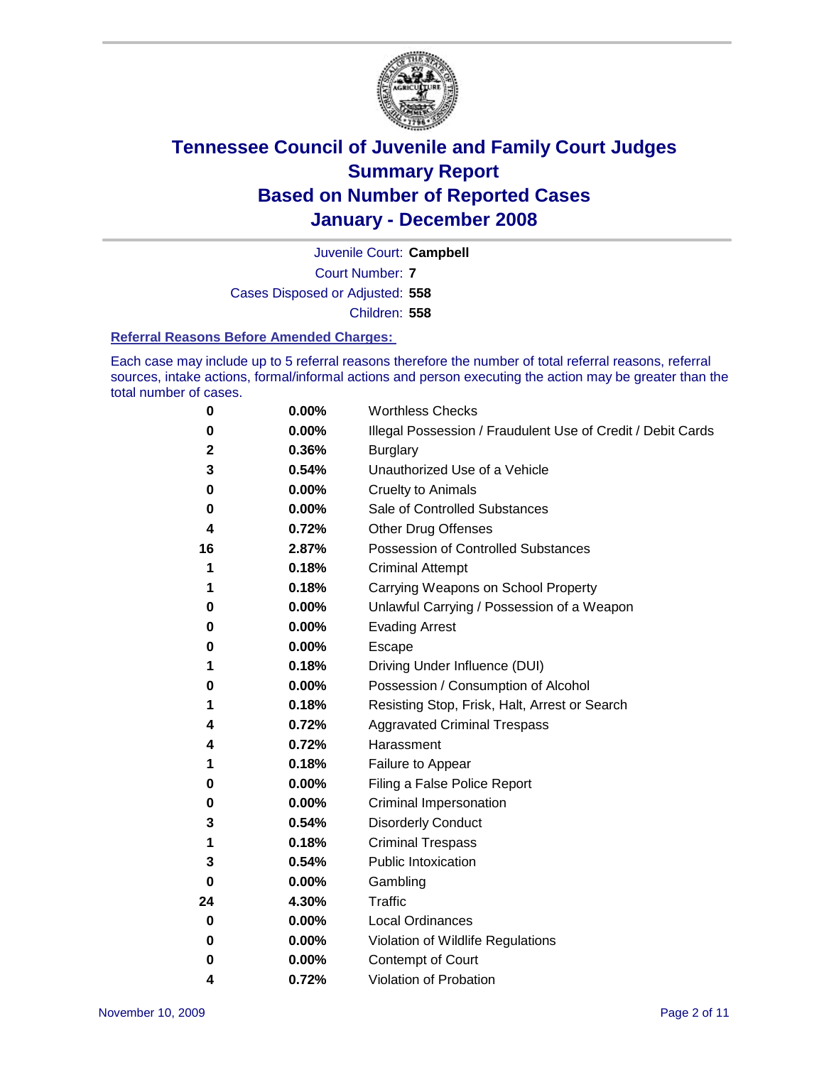

Court Number: **7** Juvenile Court: **Campbell** Cases Disposed or Adjusted: **558** Children: **558**

#### **Referral Reasons Before Amended Charges:**

Each case may include up to 5 referral reasons therefore the number of total referral reasons, referral sources, intake actions, formal/informal actions and person executing the action may be greater than the total number of cases.

| 0  | 0.00% | <b>Worthless Checks</b>                                     |
|----|-------|-------------------------------------------------------------|
| 0  | 0.00% | Illegal Possession / Fraudulent Use of Credit / Debit Cards |
| 2  | 0.36% | <b>Burglary</b>                                             |
| 3  | 0.54% | Unauthorized Use of a Vehicle                               |
| 0  | 0.00% | <b>Cruelty to Animals</b>                                   |
| 0  | 0.00% | Sale of Controlled Substances                               |
| 4  | 0.72% | <b>Other Drug Offenses</b>                                  |
| 16 | 2.87% | <b>Possession of Controlled Substances</b>                  |
| 1  | 0.18% | <b>Criminal Attempt</b>                                     |
| 1  | 0.18% | Carrying Weapons on School Property                         |
| 0  | 0.00% | Unlawful Carrying / Possession of a Weapon                  |
| 0  | 0.00% | <b>Evading Arrest</b>                                       |
| 0  | 0.00% | Escape                                                      |
| 1  | 0.18% | Driving Under Influence (DUI)                               |
| 0  | 0.00% | Possession / Consumption of Alcohol                         |
| 1  | 0.18% | Resisting Stop, Frisk, Halt, Arrest or Search               |
| 4  | 0.72% | <b>Aggravated Criminal Trespass</b>                         |
| 4  | 0.72% | Harassment                                                  |
| 1  | 0.18% | Failure to Appear                                           |
| 0  | 0.00% | Filing a False Police Report                                |
| 0  | 0.00% | Criminal Impersonation                                      |
| 3  | 0.54% | <b>Disorderly Conduct</b>                                   |
| 1  | 0.18% | <b>Criminal Trespass</b>                                    |
| 3  | 0.54% | <b>Public Intoxication</b>                                  |
| 0  | 0.00% | Gambling                                                    |
| 24 | 4.30% | Traffic                                                     |
| 0  | 0.00% | <b>Local Ordinances</b>                                     |
| 0  | 0.00% | Violation of Wildlife Regulations                           |
| 0  | 0.00% | Contempt of Court                                           |
| 4  | 0.72% | Violation of Probation                                      |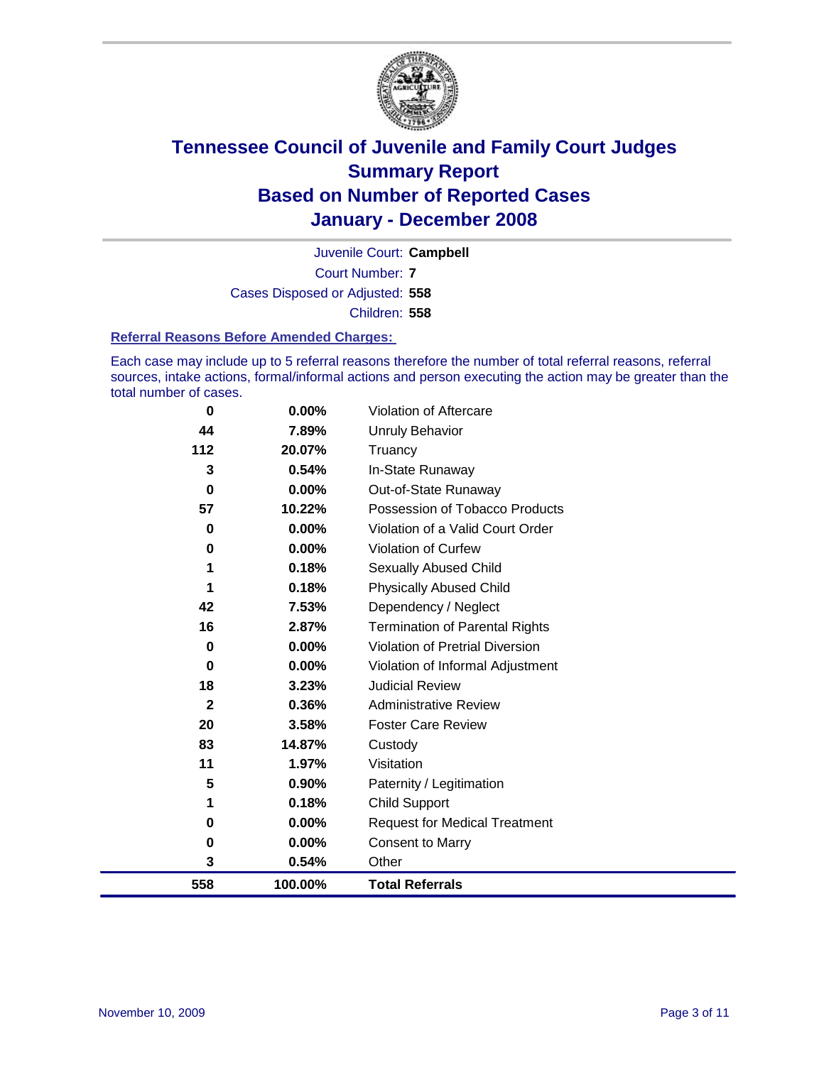

Court Number: **7** Juvenile Court: **Campbell** Cases Disposed or Adjusted: **558** Children: **558**

#### **Referral Reasons Before Amended Charges:**

Each case may include up to 5 referral reasons therefore the number of total referral reasons, referral sources, intake actions, formal/informal actions and person executing the action may be greater than the total number of cases.

| $\bf{0}$     | 0.00%    | Violation of Aftercare                 |
|--------------|----------|----------------------------------------|
| 44           | 7.89%    | <b>Unruly Behavior</b>                 |
| 112          | 20.07%   | Truancy                                |
| 3            | 0.54%    | In-State Runaway                       |
| $\bf{0}$     | $0.00\%$ | Out-of-State Runaway                   |
| 57           | 10.22%   | Possession of Tobacco Products         |
| 0            | 0.00%    | Violation of a Valid Court Order       |
| 0            | 0.00%    | Violation of Curfew                    |
| 1            | 0.18%    | Sexually Abused Child                  |
| 1            | 0.18%    | <b>Physically Abused Child</b>         |
| 42           | 7.53%    | Dependency / Neglect                   |
| 16           | 2.87%    | <b>Termination of Parental Rights</b>  |
| 0            | $0.00\%$ | <b>Violation of Pretrial Diversion</b> |
| 0            | $0.00\%$ | Violation of Informal Adjustment       |
| 18           | 3.23%    | <b>Judicial Review</b>                 |
| $\mathbf{2}$ | 0.36%    | <b>Administrative Review</b>           |
| 20           | 3.58%    | <b>Foster Care Review</b>              |
| 83           | 14.87%   | Custody                                |
| 11           | 1.97%    | Visitation                             |
| 5            | 0.90%    | Paternity / Legitimation               |
| 1            | 0.18%    | <b>Child Support</b>                   |
| 0            | $0.00\%$ | <b>Request for Medical Treatment</b>   |
| 0            | 0.00%    | <b>Consent to Marry</b>                |
| 3            | 0.54%    | Other                                  |
| 558          | 100.00%  | <b>Total Referrals</b>                 |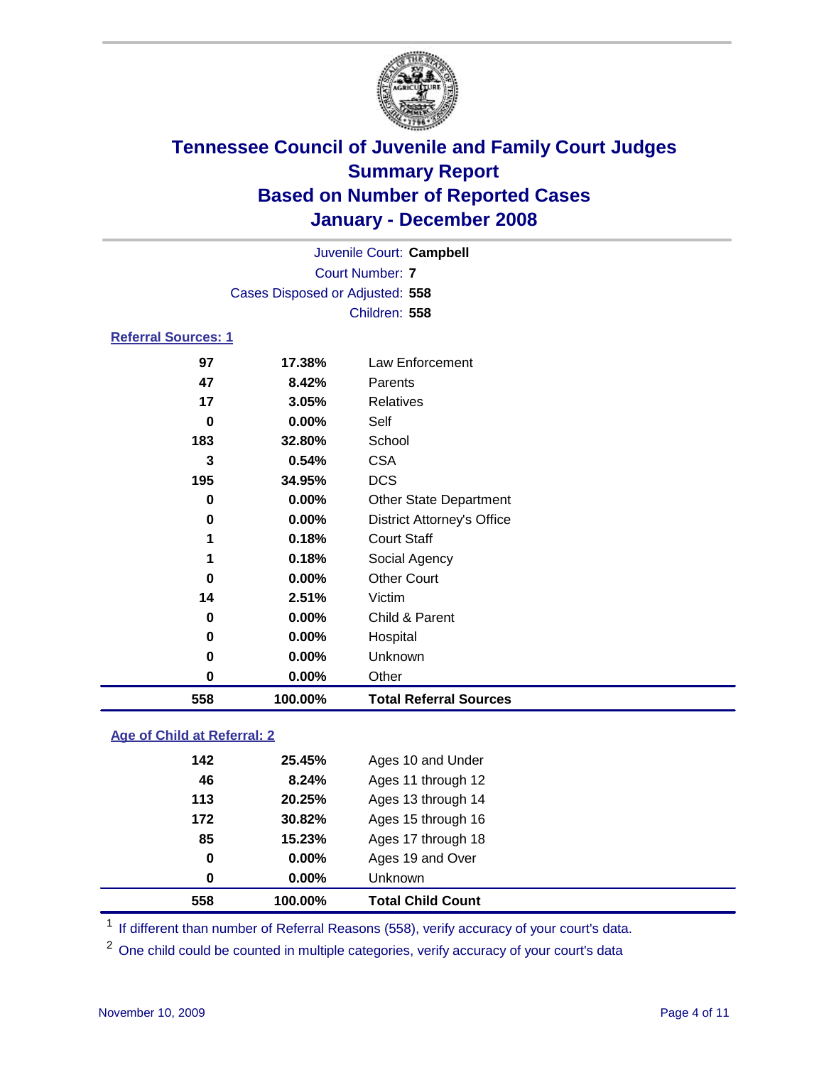

Court Number: **7** Juvenile Court: **Campbell** Cases Disposed or Adjusted: **558** Children: **558**

### **Referral Sources: 1**

| 558      | 100.00% | <b>Total Referral Sources</b>     |
|----------|---------|-----------------------------------|
| 0        | 0.00%   | Other                             |
| 0        | 0.00%   | Unknown                           |
| 0        | 0.00%   | Hospital                          |
| 0        | 0.00%   | Child & Parent                    |
| 14       | 2.51%   | Victim                            |
| 0        | 0.00%   | <b>Other Court</b>                |
| 1        | 0.18%   | Social Agency                     |
| 1        | 0.18%   | <b>Court Staff</b>                |
| $\bf{0}$ | 0.00%   | <b>District Attorney's Office</b> |
| 0        | 0.00%   | <b>Other State Department</b>     |
| 195      | 34.95%  | <b>DCS</b>                        |
| 3        | 0.54%   | <b>CSA</b>                        |
| 183      | 32.80%  | School                            |
| 0        | 0.00%   | Self                              |
| 17       | 3.05%   | Relatives                         |
| 47       | 8.42%   | Parents                           |
| 97       | 17.38%  | Law Enforcement                   |
|          |         |                                   |

### **Age of Child at Referral: 2**

|             |        | <b>Total Child Count</b> |
|-------------|--------|--------------------------|
| 0           | 0.00%  | <b>Unknown</b>           |
| $\mathbf 0$ | 0.00%  | Ages 19 and Over         |
| 85          | 15.23% | Ages 17 through 18       |
| 172         | 30.82% | Ages 15 through 16       |
| 113         | 20.25% | Ages 13 through 14       |
| 46          | 8.24%  | Ages 11 through 12       |
| 142         | 25.45% | Ages 10 and Under        |
|             |        | 558<br>100.00%           |

<sup>1</sup> If different than number of Referral Reasons (558), verify accuracy of your court's data.

<sup>2</sup> One child could be counted in multiple categories, verify accuracy of your court's data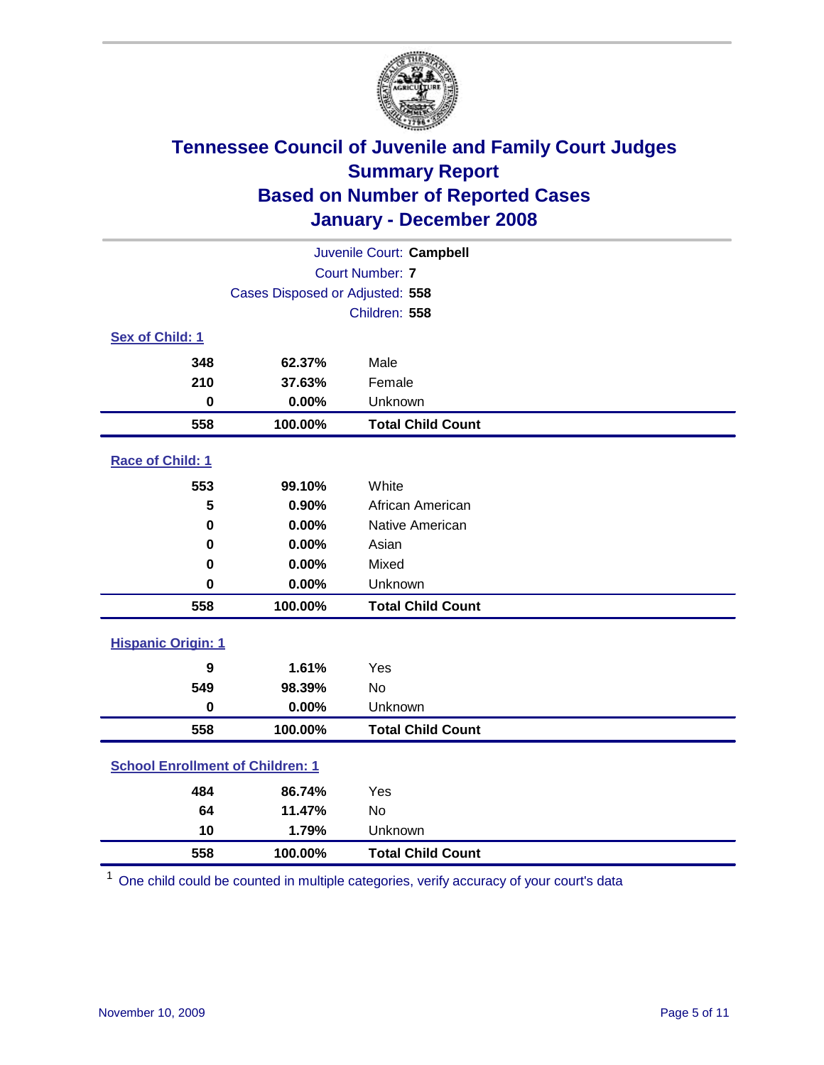

| Juvenile Court: Campbell                |                                 |                          |  |  |  |
|-----------------------------------------|---------------------------------|--------------------------|--|--|--|
| <b>Court Number: 7</b>                  |                                 |                          |  |  |  |
|                                         | Cases Disposed or Adjusted: 558 |                          |  |  |  |
|                                         | Children: 558                   |                          |  |  |  |
| Sex of Child: 1                         |                                 |                          |  |  |  |
| 348                                     | 62.37%                          | Male                     |  |  |  |
| 210                                     | 37.63%                          | Female                   |  |  |  |
| $\mathbf 0$                             | 0.00%                           | Unknown                  |  |  |  |
| 558                                     | 100.00%                         | <b>Total Child Count</b> |  |  |  |
| Race of Child: 1                        |                                 |                          |  |  |  |
| 553                                     | 99.10%                          | White                    |  |  |  |
| 5                                       | 0.90%                           | African American         |  |  |  |
| $\bf{0}$                                | 0.00%                           | Native American          |  |  |  |
| $\bf{0}$                                | 0.00%                           | Asian                    |  |  |  |
| $\bf{0}$                                | 0.00%                           | Mixed                    |  |  |  |
| $\bf{0}$                                | 0.00%                           | Unknown                  |  |  |  |
| 558                                     | 100.00%                         | <b>Total Child Count</b> |  |  |  |
| <b>Hispanic Origin: 1</b>               |                                 |                          |  |  |  |
| 9                                       | 1.61%                           | Yes                      |  |  |  |
| 549                                     | 98.39%                          | No                       |  |  |  |
| $\mathbf 0$                             | 0.00%                           | Unknown                  |  |  |  |
| 558                                     | 100.00%                         | <b>Total Child Count</b> |  |  |  |
| <b>School Enrollment of Children: 1</b> |                                 |                          |  |  |  |
| 484                                     | 86.74%                          | Yes                      |  |  |  |
| 64                                      | 11.47%                          | <b>No</b>                |  |  |  |
| 10                                      | 1.79%                           | Unknown                  |  |  |  |
| 558                                     | 100.00%                         | <b>Total Child Count</b> |  |  |  |

One child could be counted in multiple categories, verify accuracy of your court's data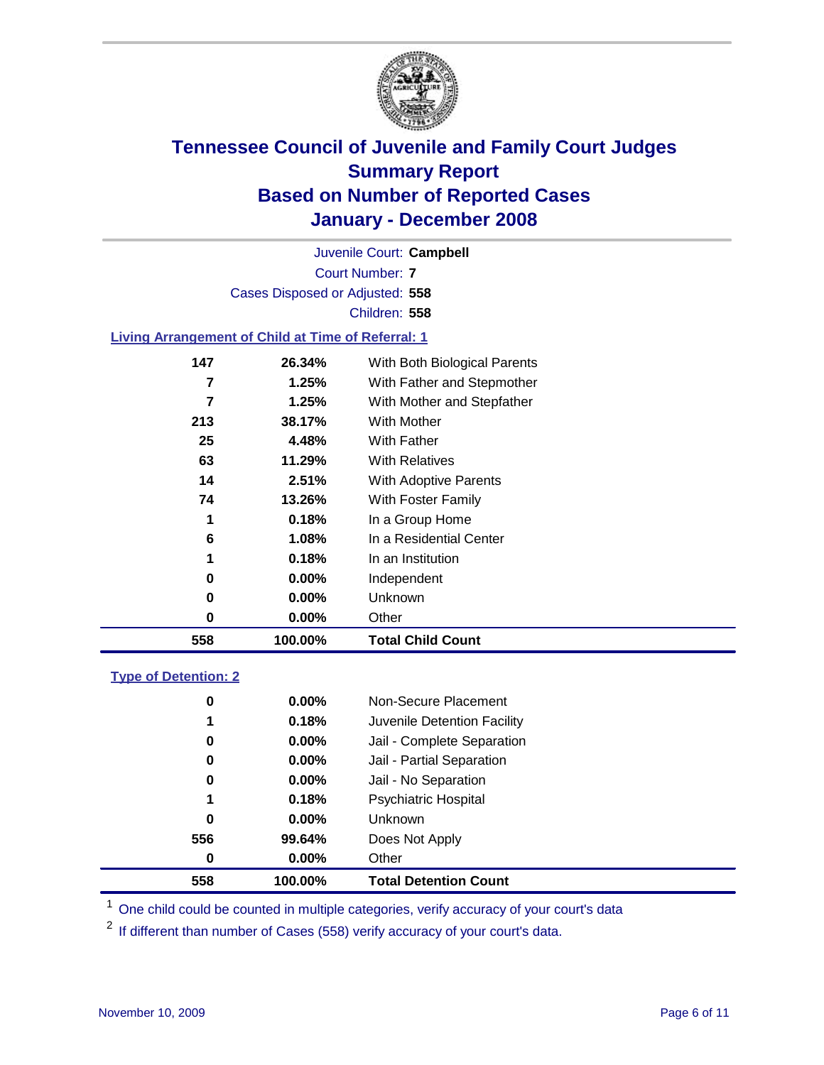

Court Number: **7** Juvenile Court: **Campbell** Cases Disposed or Adjusted: **558** Children: **558**

#### **Living Arrangement of Child at Time of Referral: 1**

| 558 | 100.00%  | <b>Total Child Count</b>     |
|-----|----------|------------------------------|
| 0   | $0.00\%$ | Other                        |
| 0   | $0.00\%$ | Unknown                      |
| 0   | $0.00\%$ | Independent                  |
| 1   | 0.18%    | In an Institution            |
| 6   | 1.08%    | In a Residential Center      |
| 1   | 0.18%    | In a Group Home              |
| 74  | 13.26%   | With Foster Family           |
| 14  | 2.51%    | With Adoptive Parents        |
| 63  | 11.29%   | <b>With Relatives</b>        |
| 25  | 4.48%    | <b>With Father</b>           |
| 213 | 38.17%   | With Mother                  |
| 7   | 1.25%    | With Mother and Stepfather   |
| 7   | 1.25%    | With Father and Stepmother   |
| 147 | 26.34%   | With Both Biological Parents |
|     |          |                              |

#### **Type of Detention: 2**

| 558 | 100.00%       | <b>Total Detention Count</b> |  |
|-----|---------------|------------------------------|--|
|     | 0.00%<br>0    | Other                        |  |
| 556 | 99.64%        | Does Not Apply               |  |
|     | 0<br>0.00%    | Unknown                      |  |
|     | 0.18%<br>1    | <b>Psychiatric Hospital</b>  |  |
|     | 0<br>0.00%    | Jail - No Separation         |  |
|     | 0<br>$0.00\%$ | Jail - Partial Separation    |  |
|     | $0.00\%$<br>0 | Jail - Complete Separation   |  |
|     | 0.18%<br>1    | Juvenile Detention Facility  |  |
|     | 0<br>$0.00\%$ | Non-Secure Placement         |  |
|     |               |                              |  |

<sup>1</sup> One child could be counted in multiple categories, verify accuracy of your court's data

<sup>2</sup> If different than number of Cases (558) verify accuracy of your court's data.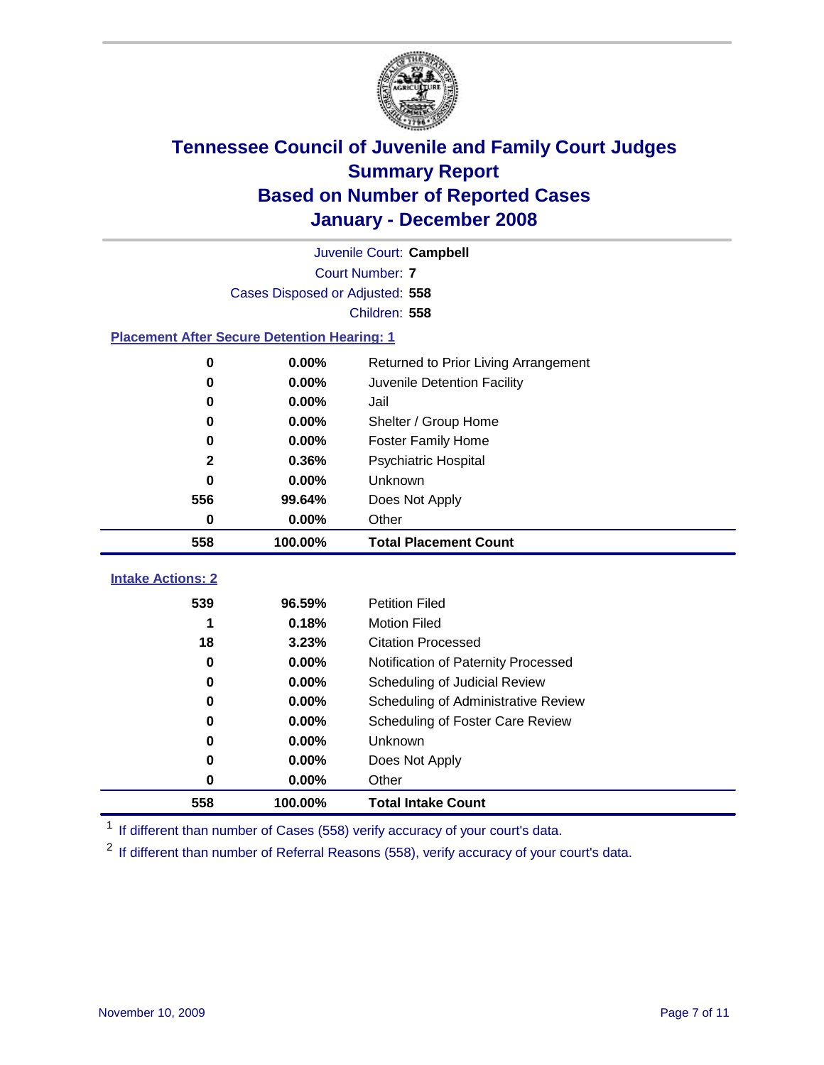

|                                                    | Juvenile Court: Campbell        |                                      |  |  |  |  |
|----------------------------------------------------|---------------------------------|--------------------------------------|--|--|--|--|
|                                                    | <b>Court Number: 7</b>          |                                      |  |  |  |  |
|                                                    | Cases Disposed or Adjusted: 558 |                                      |  |  |  |  |
|                                                    | Children: 558                   |                                      |  |  |  |  |
| <b>Placement After Secure Detention Hearing: 1</b> |                                 |                                      |  |  |  |  |
| 0                                                  | 0.00%                           | Returned to Prior Living Arrangement |  |  |  |  |
| 0                                                  | 0.00%                           | Juvenile Detention Facility          |  |  |  |  |
| 0                                                  | 0.00%                           | Jail                                 |  |  |  |  |
| 0                                                  | 0.00%                           | Shelter / Group Home                 |  |  |  |  |
| 0                                                  | 0.00%                           | <b>Foster Family Home</b>            |  |  |  |  |
| $\mathbf{2}$                                       | 0.36%                           | Psychiatric Hospital                 |  |  |  |  |
| 0                                                  | 0.00%                           | Unknown                              |  |  |  |  |
| 556                                                | 99.64%                          | Does Not Apply                       |  |  |  |  |
| 0                                                  | 0.00%                           | Other                                |  |  |  |  |
| 558                                                | 100.00%                         | <b>Total Placement Count</b>         |  |  |  |  |
|                                                    |                                 |                                      |  |  |  |  |
|                                                    |                                 |                                      |  |  |  |  |
| <b>Intake Actions: 2</b><br>539                    | 96.59%                          | <b>Petition Filed</b>                |  |  |  |  |
| 1                                                  | 0.18%                           | <b>Motion Filed</b>                  |  |  |  |  |
| 18                                                 | 3.23%                           | <b>Citation Processed</b>            |  |  |  |  |
| 0                                                  | 0.00%                           | Notification of Paternity Processed  |  |  |  |  |
| 0                                                  | 0.00%                           | Scheduling of Judicial Review        |  |  |  |  |
| 0                                                  | 0.00%                           | Scheduling of Administrative Review  |  |  |  |  |
| 0                                                  | 0.00%                           | Scheduling of Foster Care Review     |  |  |  |  |
| 0                                                  | 0.00%                           | Unknown                              |  |  |  |  |
| 0                                                  | 0.00%                           | Does Not Apply                       |  |  |  |  |
| 0                                                  | 0.00%                           | Other                                |  |  |  |  |

<sup>1</sup> If different than number of Cases (558) verify accuracy of your court's data.

<sup>2</sup> If different than number of Referral Reasons (558), verify accuracy of your court's data.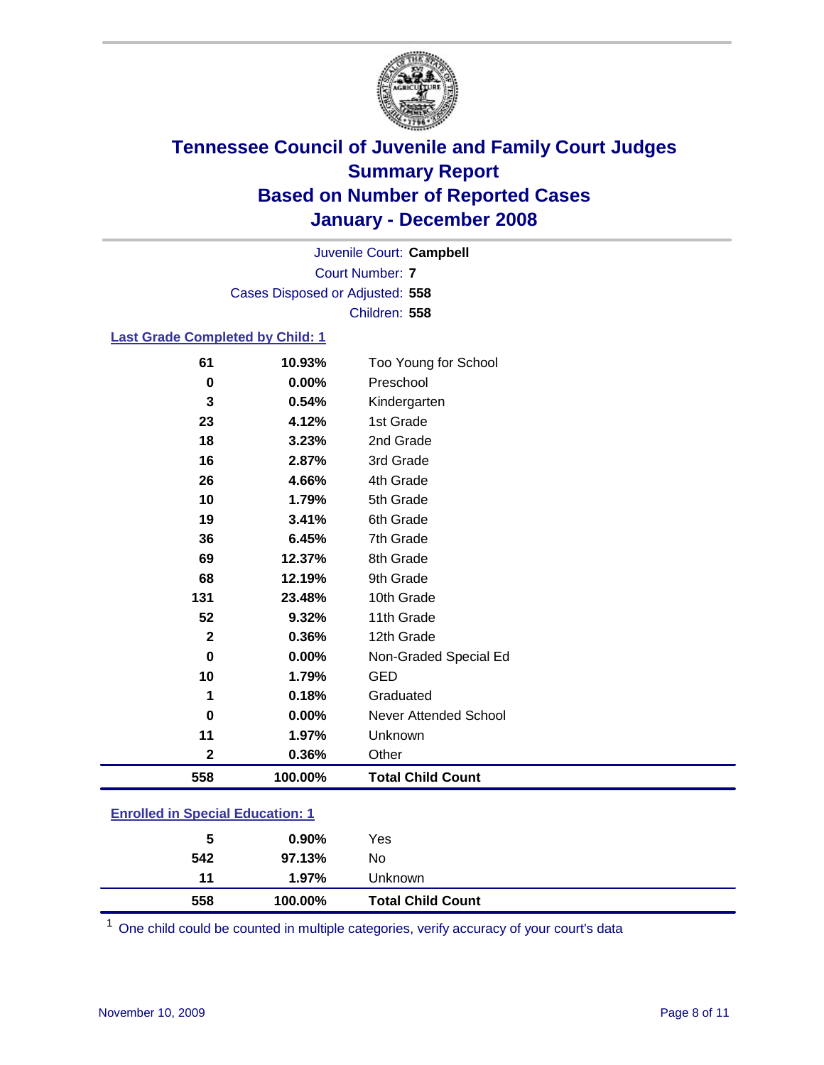

Court Number: **7** Juvenile Court: **Campbell** Cases Disposed or Adjusted: **558** Children: **558**

### **Last Grade Completed by Child: 1**

| 61          | 10.93%   | Too Young for School         |
|-------------|----------|------------------------------|
| $\pmb{0}$   | $0.00\%$ | Preschool                    |
| 3           | 0.54%    | Kindergarten                 |
| 23          | 4.12%    | 1st Grade                    |
| 18          | 3.23%    | 2nd Grade                    |
| 16          | 2.87%    | 3rd Grade                    |
| 26          | 4.66%    | 4th Grade                    |
| 10          | 1.79%    | 5th Grade                    |
| 19          | 3.41%    | 6th Grade                    |
| 36          | 6.45%    | 7th Grade                    |
| 69          | 12.37%   | 8th Grade                    |
| 68          | 12.19%   | 9th Grade                    |
| 131         | 23.48%   | 10th Grade                   |
| 52          | 9.32%    | 11th Grade                   |
| $\mathbf 2$ | 0.36%    | 12th Grade                   |
| $\bf{0}$    | 0.00%    | Non-Graded Special Ed        |
| 10          | 1.79%    | <b>GED</b>                   |
| 1           | 0.18%    | Graduated                    |
| $\bf{0}$    | 0.00%    | <b>Never Attended School</b> |
| 11          | 1.97%    | Unknown                      |
| $\mathbf 2$ | 0.36%    | Other                        |
| 558         | 100.00%  | <b>Total Child Count</b>     |

### **Enrolled in Special Education: 1**

<sup>1</sup> One child could be counted in multiple categories, verify accuracy of your court's data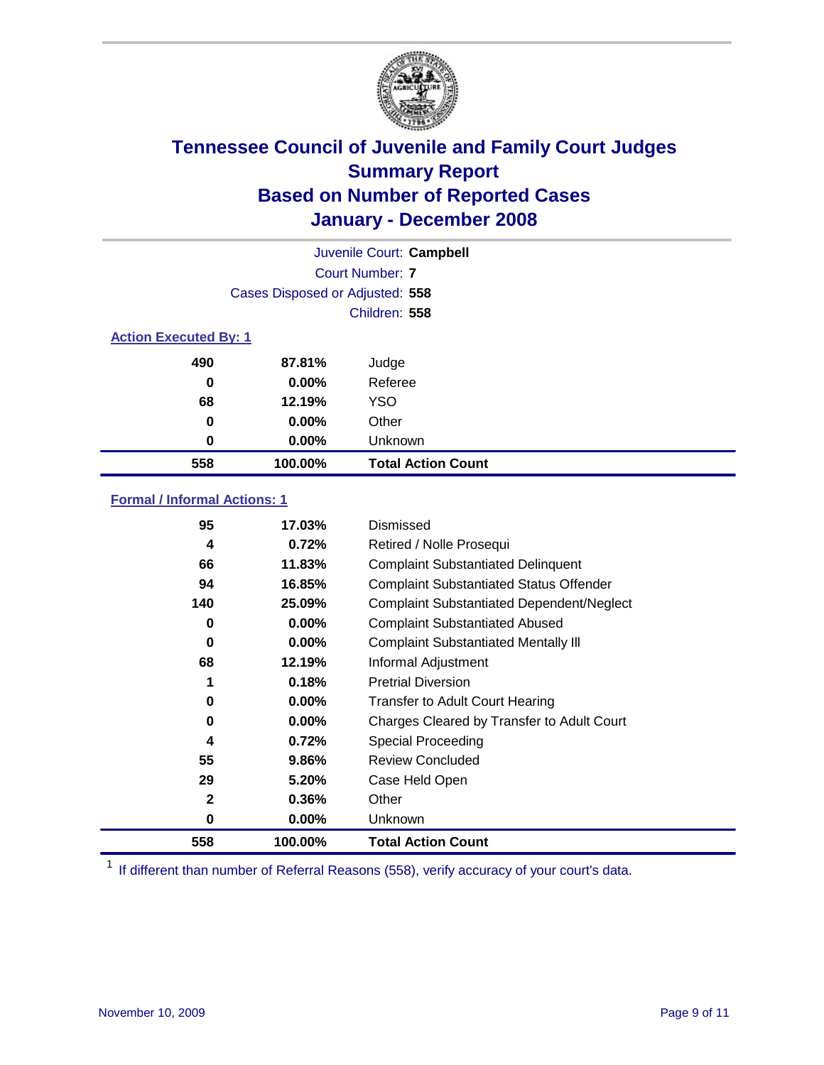

| Juvenile Court: Campbell     |                                 |                           |  |  |  |
|------------------------------|---------------------------------|---------------------------|--|--|--|
|                              | Court Number: 7                 |                           |  |  |  |
|                              | Cases Disposed or Adjusted: 558 |                           |  |  |  |
|                              | Children: 558                   |                           |  |  |  |
| <b>Action Executed By: 1</b> |                                 |                           |  |  |  |
| 490                          | 87.81%                          | Judge                     |  |  |  |
| 0                            | $0.00\%$                        | Referee                   |  |  |  |
| 68                           | 12.19%                          | <b>YSO</b>                |  |  |  |
| 0                            | $0.00\%$                        | Other                     |  |  |  |
| 0                            | $0.00\%$                        | Unknown                   |  |  |  |
| 558                          | 100.00%                         | <b>Total Action Count</b> |  |  |  |

### **Formal / Informal Actions: 1**

| 95           | 17.03%   | <b>Dismissed</b>                                 |
|--------------|----------|--------------------------------------------------|
| 4            | 0.72%    | Retired / Nolle Prosequi                         |
| 66           | 11.83%   | <b>Complaint Substantiated Delinquent</b>        |
| 94           | 16.85%   | <b>Complaint Substantiated Status Offender</b>   |
| 140          | 25.09%   | <b>Complaint Substantiated Dependent/Neglect</b> |
| 0            | 0.00%    | <b>Complaint Substantiated Abused</b>            |
| 0            | 0.00%    | <b>Complaint Substantiated Mentally III</b>      |
| 68           | 12.19%   | Informal Adjustment                              |
| 1            | 0.18%    | <b>Pretrial Diversion</b>                        |
| 0            | 0.00%    | <b>Transfer to Adult Court Hearing</b>           |
| 0            | $0.00\%$ | Charges Cleared by Transfer to Adult Court       |
| 4            | 0.72%    | Special Proceeding                               |
| 55           | 9.86%    | <b>Review Concluded</b>                          |
| 29           | 5.20%    | Case Held Open                                   |
| $\mathbf{2}$ | 0.36%    | Other                                            |
| 0            | 0.00%    | <b>Unknown</b>                                   |
| 558          | 100.00%  | <b>Total Action Count</b>                        |

<sup>1</sup> If different than number of Referral Reasons (558), verify accuracy of your court's data.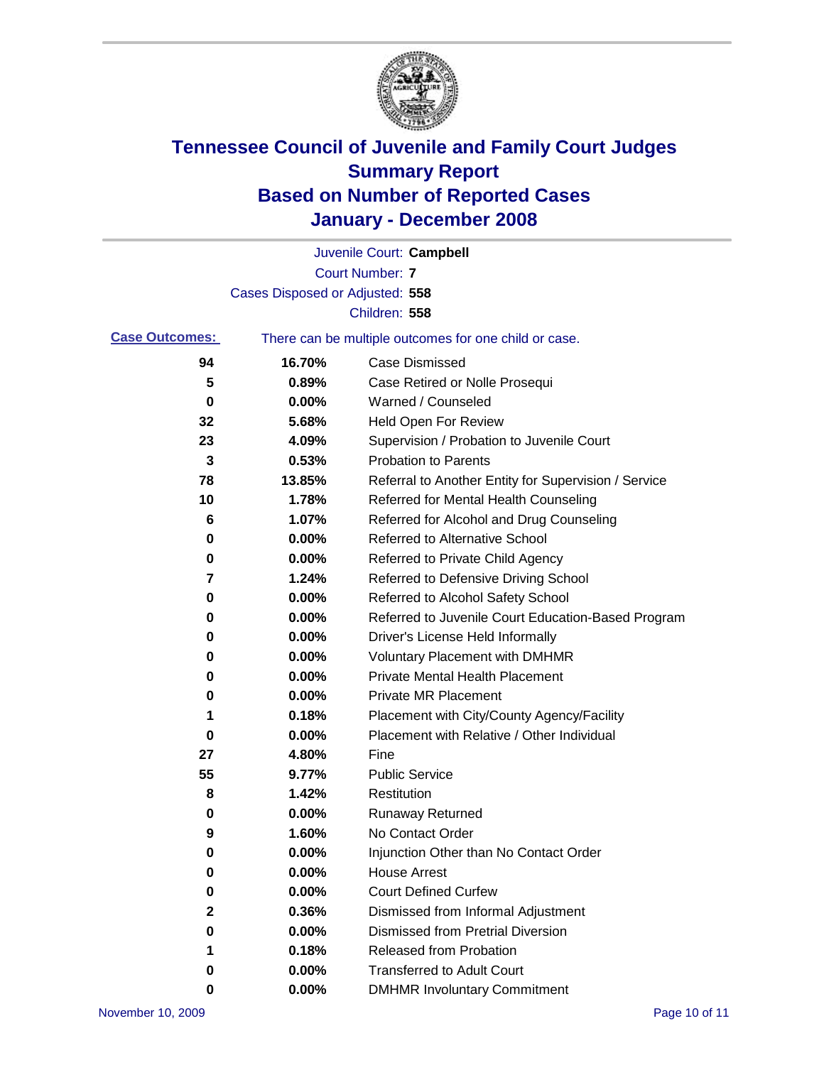

|                       |                                 | Juvenile Court: Campbell                              |
|-----------------------|---------------------------------|-------------------------------------------------------|
|                       |                                 | <b>Court Number: 7</b>                                |
|                       | Cases Disposed or Adjusted: 558 |                                                       |
|                       |                                 | Children: 558                                         |
| <b>Case Outcomes:</b> |                                 | There can be multiple outcomes for one child or case. |
| 94                    | 16.70%                          | <b>Case Dismissed</b>                                 |
| 5                     | 0.89%                           | Case Retired or Nolle Prosequi                        |
| 0                     | 0.00%                           | Warned / Counseled                                    |
| 32                    | 5.68%                           | <b>Held Open For Review</b>                           |
| 23                    | 4.09%                           | Supervision / Probation to Juvenile Court             |
| 3                     | 0.53%                           | <b>Probation to Parents</b>                           |
| 78                    | 13.85%                          | Referral to Another Entity for Supervision / Service  |
| 10                    | 1.78%                           | Referred for Mental Health Counseling                 |
| 6                     | 1.07%                           | Referred for Alcohol and Drug Counseling              |
| 0                     | 0.00%                           | <b>Referred to Alternative School</b>                 |
| 0                     | 0.00%                           | Referred to Private Child Agency                      |
| 7                     | 1.24%                           | Referred to Defensive Driving School                  |
| 0                     | 0.00%                           | Referred to Alcohol Safety School                     |
| 0                     | 0.00%                           | Referred to Juvenile Court Education-Based Program    |
| 0                     | 0.00%                           | Driver's License Held Informally                      |
| 0                     | 0.00%                           | <b>Voluntary Placement with DMHMR</b>                 |
| 0                     | 0.00%                           | <b>Private Mental Health Placement</b>                |
| 0                     | 0.00%                           | <b>Private MR Placement</b>                           |
| 1                     | 0.18%                           | Placement with City/County Agency/Facility            |
| 0                     | 0.00%                           | Placement with Relative / Other Individual            |
| 27                    | 4.80%                           | Fine                                                  |
| 55                    | 9.77%                           | <b>Public Service</b>                                 |
| 8                     | 1.42%                           | Restitution                                           |
| 0                     | 0.00%                           | <b>Runaway Returned</b>                               |
| 9                     | 1.60%                           | No Contact Order                                      |
| 0                     | $0.00\%$                        | Injunction Other than No Contact Order                |
| 0                     | 0.00%                           | <b>House Arrest</b>                                   |
| 0                     | 0.00%                           | <b>Court Defined Curfew</b>                           |
| 2                     | 0.36%                           | Dismissed from Informal Adjustment                    |
| 0                     | 0.00%                           | <b>Dismissed from Pretrial Diversion</b>              |
| 1                     | 0.18%                           | <b>Released from Probation</b>                        |
| 0                     | 0.00%                           | <b>Transferred to Adult Court</b>                     |
| 0                     | 0.00%                           | <b>DMHMR Involuntary Commitment</b>                   |